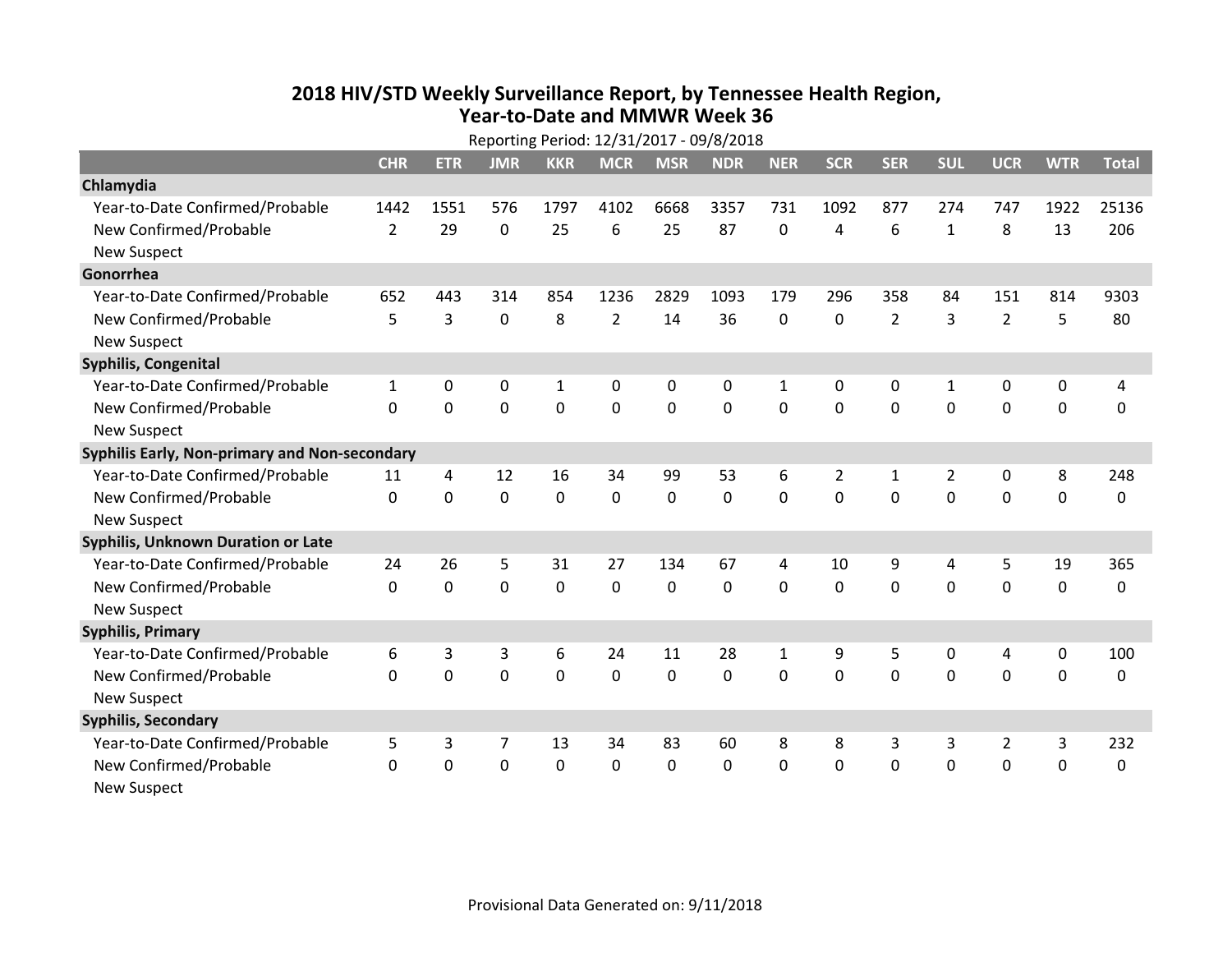## **2018 HIV /STD Weekl y Surveillance Report, b y Tennessee Health Region, Year‐to‐Date and MMWR Week 36**

|                                               | Reporting Period: 12/31/2017 - 09/8/2018 |              |                |             |                |             |                |                |             |                |                |                |             |                  |
|-----------------------------------------------|------------------------------------------|--------------|----------------|-------------|----------------|-------------|----------------|----------------|-------------|----------------|----------------|----------------|-------------|------------------|
|                                               | <b>CHR</b>                               | <b>ETR</b>   | <b>JMR</b>     | <b>KKR</b>  | <b>MCR</b>     | <b>MSR</b>  | <b>NDR</b>     | <b>NER</b>     | <b>SCR</b>  | <b>SER</b>     | <b>SUL</b>     | <b>UCR</b>     | <b>WTR</b>  | <b>Total</b>     |
| Chlamydia                                     |                                          |              |                |             |                |             |                |                |             |                |                |                |             |                  |
| Year-to-Date Confirmed/Probable               | 1442                                     | 1551         | 576            | 1797        | 4102           | 6668        | 3357           | 731            | 1092        | 877            | 274            | 747            | 1922        | 25136            |
| New Confirmed/Probable                        | $\overline{2}$                           | 29           | 0              | 25          | 6              | 25          | 87             | 0              | 4           | 6              | $\mathbf{1}$   | 8              | 13          | 206              |
| <b>New Suspect</b>                            |                                          |              |                |             |                |             |                |                |             |                |                |                |             |                  |
| Gonorrhea                                     |                                          |              |                |             |                |             |                |                |             |                |                |                |             |                  |
| Year-to-Date Confirmed/Probable               | 652                                      | 443          | 314            | 854         | 1236           | 2829        | 1093           | 179            | 296         | 358            | 84             | 151            | 814         | 9303             |
| New Confirmed/Probable                        | 5                                        | 3            | $\mathbf 0$    | 8           | $\overline{2}$ | 14          | 36             | 0              | $\mathbf 0$ | $\overline{2}$ | $\overline{3}$ | $\overline{2}$ | 5           | 80               |
| <b>New Suspect</b>                            |                                          |              |                |             |                |             |                |                |             |                |                |                |             |                  |
| Syphilis, Congenital                          |                                          |              |                |             |                |             |                |                |             |                |                |                |             |                  |
| Year-to-Date Confirmed/Probable               | $\mathbf{1}$                             | $\mathbf{0}$ | 0              | 1           | 0              | 0           | 0              | 1              | $\Omega$    | $\Omega$       | 1              | 0              | 0           | 4                |
| New Confirmed/Probable                        | $\Omega$                                 | $\mathbf{0}$ | $\mathbf 0$    | $\mathbf 0$ | $\mathbf 0$    | $\mathbf 0$ | $\mathbf 0$    | 0              | $\Omega$    | $\mathbf{0}$   | $\mathbf{0}$   | $\mathbf 0$    | $\mathbf 0$ | 0                |
| <b>New Suspect</b>                            |                                          |              |                |             |                |             |                |                |             |                |                |                |             |                  |
| Syphilis Early, Non-primary and Non-secondary |                                          |              |                |             |                |             |                |                |             |                |                |                |             |                  |
| Year-to-Date Confirmed/Probable               | 11                                       | 4            | 12             | 16          | 34             | 99          | 53             | 6              | 2           | 1              | 2              | 0              | 8           | 248              |
| New Confirmed/Probable                        | $\mathbf{0}$                             | $\mathbf 0$  | $\mathbf 0$    | $\mathbf 0$ | $\mathbf 0$    | $\mathbf 0$ | $\overline{0}$ | 0              | $\Omega$    | $\Omega$       | $\mathbf 0$    | $\mathbf 0$    | $\mathbf 0$ | $\boldsymbol{0}$ |
| <b>New Suspect</b>                            |                                          |              |                |             |                |             |                |                |             |                |                |                |             |                  |
| Syphilis, Unknown Duration or Late            |                                          |              |                |             |                |             |                |                |             |                |                |                |             |                  |
| Year-to-Date Confirmed/Probable               | 24                                       | 26           | 5              | 31          | 27             | 134         | 67             | 4              | 10          | 9              | 4              | 5              | 19          | 365              |
| New Confirmed/Probable                        | $\Omega$                                 | $\Omega$     | $\overline{0}$ | $\mathbf 0$ | $\mathbf 0$    | $\mathbf 0$ | $\overline{0}$ | $\overline{0}$ | $\Omega$    | $\Omega$       | $\mathbf{0}$   | $\mathbf 0$    | $\mathbf 0$ | $\mathbf 0$      |
| <b>New Suspect</b>                            |                                          |              |                |             |                |             |                |                |             |                |                |                |             |                  |
| <b>Syphilis, Primary</b>                      |                                          |              |                |             |                |             |                |                |             |                |                |                |             |                  |
| Year-to-Date Confirmed/Probable               | 6                                        | 3            | 3              | 6           | 24             | 11          | 28             | 1              | 9           | 5              | $\mathbf 0$    | 4              | 0           | 100              |
| New Confirmed/Probable                        | $\Omega$                                 | $\mathbf 0$  | $\mathbf 0$    | $\mathbf 0$ | $\mathbf 0$    | $\mathbf 0$ | $\mathbf 0$    | 0              | $\mathbf 0$ | $\mathbf{0}$   | $\mathbf 0$    | $\mathbf 0$    | $\mathbf 0$ | 0                |
| <b>New Suspect</b>                            |                                          |              |                |             |                |             |                |                |             |                |                |                |             |                  |
| <b>Syphilis, Secondary</b>                    |                                          |              |                |             |                |             |                |                |             |                |                |                |             |                  |
| Year-to-Date Confirmed/Probable               | 5                                        | 3            | 7              | 13          | 34             | 83          | 60             | 8              | 8           | 3              | 3              | 2              | 3           | 232              |
| New Confirmed/Probable                        | $\mathbf{0}$                             | $\mathbf 0$  | $\mathbf 0$    | $\mathbf 0$ | $\mathbf 0$    | $\mathbf 0$ | $\mathbf 0$    | 0              | $\mathbf 0$ | $\mathbf{0}$   | $\mathbf{0}$   | $\mathbf 0$    | $\mathbf 0$ | $\mathbf 0$      |
| <b>New Suspect</b>                            |                                          |              |                |             |                |             |                |                |             |                |                |                |             |                  |